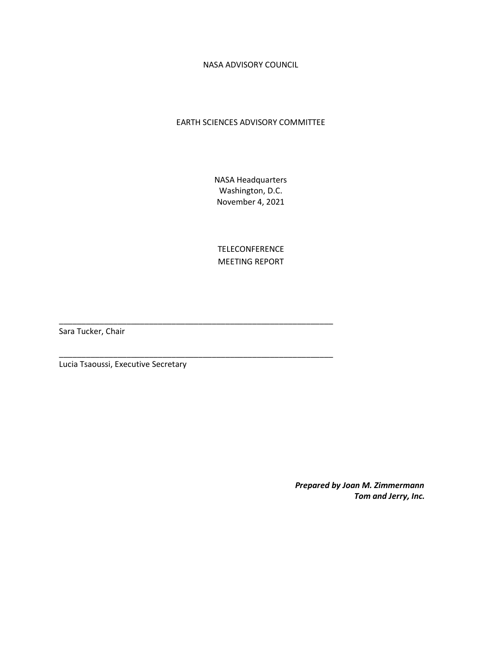NASA ADVISORY COUNCIL

# EARTH SCIENCES ADVISORY COMMITTEE

NASA Headquarters Washington, D.C. November 4, 2021

TELECONFERENCE MEETING REPORT

\_\_\_\_\_\_\_\_\_\_\_\_\_\_\_\_\_\_\_\_\_\_\_\_\_\_\_\_\_\_\_\_\_\_\_\_\_\_\_\_\_\_\_\_\_\_\_\_\_\_\_\_\_\_\_\_\_\_\_\_\_

\_\_\_\_\_\_\_\_\_\_\_\_\_\_\_\_\_\_\_\_\_\_\_\_\_\_\_\_\_\_\_\_\_\_\_\_\_\_\_\_\_\_\_\_\_\_\_\_\_\_\_\_\_\_\_\_\_\_\_\_\_

Sara Tucker, Chair

Lucia Tsaoussi, Executive Secretary

*Prepared by Joan M. Zimmermann Tom and Jerry, Inc.*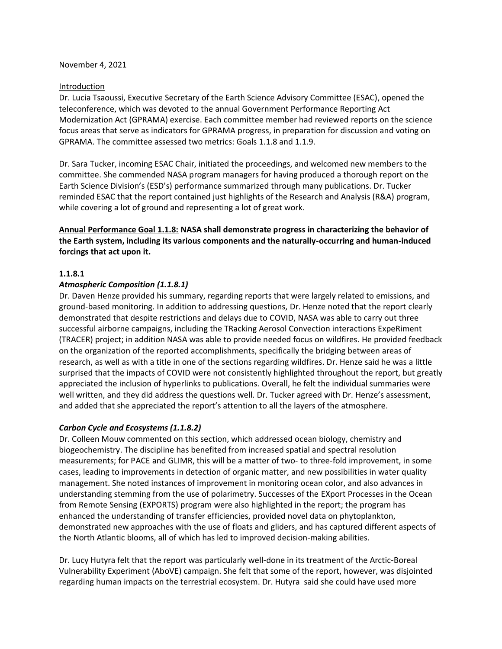#### November 4, 2021

#### Introduction

Dr. Lucia Tsaoussi, Executive Secretary of the Earth Science Advisory Committee (ESAC), opened the teleconference, which was devoted to the annual Government Performance Reporting Act Modernization Act (GPRAMA) exercise. Each committee member had reviewed reports on the science focus areas that serve as indicators for GPRAMA progress, in preparation for discussion and voting on GPRAMA. The committee assessed two metrics: Goals 1.1.8 and 1.1.9.

Dr. Sara Tucker, incoming ESAC Chair, initiated the proceedings, and welcomed new members to the committee. She commended NASA program managers for having produced a thorough report on the Earth Science Division's (ESD's) performance summarized through many publications. Dr. Tucker reminded ESAC that the report contained just highlights of the Research and Analysis (R&A) program, while covering a lot of ground and representing a lot of great work.

**Annual Performance Goal 1.1.8: NASA shall demonstrate progress in characterizing the behavior of the Earth system, including its various components and the naturally-occurring and human-induced forcings that act upon it.**

## **1.1.8.1**

## *Atmospheric Composition (1.1.8.1)*

Dr. Daven Henze provided his summary, regarding reports that were largely related to emissions, and ground-based monitoring. In addition to addressing questions, Dr. Henze noted that the report clearly demonstrated that despite restrictions and delays due to COVID, NASA was able to carry out three successful airborne campaigns, including the TRacking Aerosol Convection interactions ExpeRiment (TRACER) project; in addition NASA was able to provide needed focus on wildfires. He provided feedback on the organization of the reported accomplishments, specifically the bridging between areas of research, as well as with a title in one of the sections regarding wildfires. Dr. Henze said he was a little surprised that the impacts of COVID were not consistently highlighted throughout the report, but greatly appreciated the inclusion of hyperlinks to publications. Overall, he felt the individual summaries were well written, and they did address the questions well. Dr. Tucker agreed with Dr. Henze's assessment, and added that she appreciated the report's attention to all the layers of the atmosphere.

## *Carbon Cycle and Ecosystems (1.1.8.2)*

Dr. Colleen Mouw commented on this section, which addressed ocean biology, chemistry and biogeochemistry. The discipline has benefited from increased spatial and spectral resolution measurements; for PACE and GLIMR, this will be a matter of two- to three-fold improvement, in some cases, leading to improvements in detection of organic matter, and new possibilities in water quality management. She noted instances of improvement in monitoring ocean color, and also advances in understanding stemming from the use of polarimetry. Successes of the EXport Processes in the Ocean from Remote Sensing (EXPORTS) program were also highlighted in the report; the program has enhanced the understanding of transfer efficiencies, provided novel data on phytoplankton, demonstrated new approaches with the use of floats and gliders, and has captured different aspects of the North Atlantic blooms, all of which has led to improved decision-making abilities.

Dr. Lucy Hutyra felt that the report was particularly well-done in its treatment of the Arctic-Boreal Vulnerability Experiment (AboVE) campaign. She felt that some of the report, however, was disjointed regarding human impacts on the terrestrial ecosystem. Dr. Hutyra said she could have used more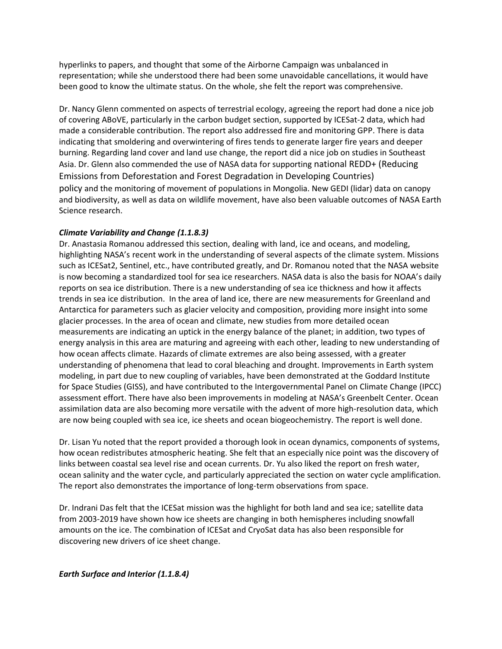hyperlinks to papers, and thought that some of the Airborne Campaign was unbalanced in representation; while she understood there had been some unavoidable cancellations, it would have been good to know the ultimate status. On the whole, she felt the report was comprehensive.

Dr. Nancy Glenn commented on aspects of terrestrial ecology, agreeing the report had done a nice job of covering ABoVE, particularly in the carbon budget section, supported by ICESat-2 data, which had made a considerable contribution. The report also addressed fire and monitoring GPP. There is data indicating that smoldering and overwintering of fires tends to generate larger fire years and deeper burning. Regarding land cover and land use change, the report did a nice job on studies in Southeast Asia. Dr. Glenn also commended the use of NASA data for supporting national REDD+ (Reducing Emissions from Deforestation and Forest Degradation in Developing Countries) policy and the monitoring of movement of populations in Mongolia. New GEDI (lidar) data on canopy and biodiversity, as well as data on wildlife movement, have also been valuable outcomes of NASA Earth Science research.

## *Climate Variability and Change (1.1.8.3)*

Dr. Anastasia Romanou addressed this section, dealing with land, ice and oceans, and modeling, highlighting NASA's recent work in the understanding of several aspects of the climate system. Missions such as ICESat2, Sentinel, etc., have contributed greatly, and Dr. Romanou noted that the NASA website is now becoming a standardized tool for sea ice researchers. NASA data is also the basis for NOAA's daily reports on sea ice distribution. There is a new understanding of sea ice thickness and how it affects trends in sea ice distribution. In the area of land ice, there are new measurements for Greenland and Antarctica for parameters such as glacier velocity and composition, providing more insight into some glacier processes. In the area of ocean and climate, new studies from more detailed ocean measurements are indicating an uptick in the energy balance of the planet; in addition, two types of energy analysis in this area are maturing and agreeing with each other, leading to new understanding of how ocean affects climate. Hazards of climate extremes are also being assessed, with a greater understanding of phenomena that lead to coral bleaching and drought. Improvements in Earth system modeling, in part due to new coupling of variables, have been demonstrated at the Goddard Institute for Space Studies (GISS), and have contributed to the Intergovernmental Panel on Climate Change (IPCC) assessment effort. There have also been improvements in modeling at NASA's Greenbelt Center. Ocean assimilation data are also becoming more versatile with the advent of more high-resolution data, which are now being coupled with sea ice, ice sheets and ocean biogeochemistry. The report is well done.

Dr. Lisan Yu noted that the report provided a thorough look in ocean dynamics, components of systems, how ocean redistributes atmospheric heating. She felt that an especially nice point was the discovery of links between coastal sea level rise and ocean currents. Dr. Yu also liked the report on fresh water, ocean salinity and the water cycle, and particularly appreciated the section on water cycle amplification. The report also demonstrates the importance of long-term observations from space.

Dr. Indrani Das felt that the ICESat mission was the highlight for both land and sea ice; satellite data from 2003-2019 have shown how ice sheets are changing in both hemispheres including snowfall amounts on the ice. The combination of ICESat and CryoSat data has also been responsible for discovering new drivers of ice sheet change.

*Earth Surface and Interior (1.1.8.4)*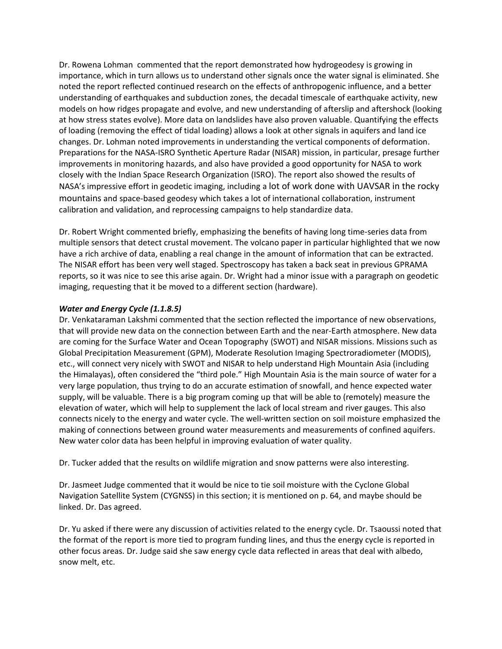Dr. Rowena Lohman commented that the report demonstrated how hydrogeodesy is growing in importance, which in turn allows us to understand other signals once the water signal is eliminated. She noted the report reflected continued research on the effects of anthropogenic influence, and a better understanding of earthquakes and subduction zones, the decadal timescale of earthquake activity, new models on how ridges propagate and evolve, and new understanding of afterslip and aftershock (looking at how stress states evolve). More data on landslides have also proven valuable. Quantifying the effects of loading (removing the effect of tidal loading) allows a look at other signals in aquifers and land ice changes. Dr. Lohman noted improvements in understanding the vertical components of deformation. Preparations for the NASA-ISRO Synthetic Aperture Radar (NISAR) mission, in particular, presage further improvements in monitoring hazards, and also have provided a good opportunity for NASA to work closely with the Indian Space Research Organization (ISRO). The report also showed the results of NASA's impressive effort in geodetic imaging, including a lot of work done with UAVSAR in the rocky mountains and space-based geodesy which takes a lot of international collaboration, instrument calibration and validation, and reprocessing campaigns to help standardize data.

Dr. Robert Wright commented briefly, emphasizing the benefits of having long time-series data from multiple sensors that detect crustal movement. The volcano paper in particular highlighted that we now have a rich archive of data, enabling a real change in the amount of information that can be extracted. The NISAR effort has been very well staged. Spectroscopy has taken a back seat in previous GPRAMA reports, so it was nice to see this arise again. Dr. Wright had a minor issue with a paragraph on geodetic imaging, requesting that it be moved to a different section (hardware).

# *Water and Energy Cycle (1.1.8.5)*

Dr. Venkataraman Lakshmi commented that the section reflected the importance of new observations, that will provide new data on the connection between Earth and the near-Earth atmosphere. New data are coming for the Surface Water and Ocean Topography (SWOT) and NISAR missions. Missions such as Global Precipitation Measurement (GPM), Moderate Resolution Imaging Spectroradiometer (MODIS), etc., will connect very nicely with SWOT and NISAR to help understand High Mountain Asia (including the Himalayas), often considered the "third pole." High Mountain Asia is the main source of water for a very large population, thus trying to do an accurate estimation of snowfall, and hence expected water supply, will be valuable. There is a big program coming up that will be able to (remotely) measure the elevation of water, which will help to supplement the lack of local stream and river gauges. This also connects nicely to the energy and water cycle. The well-written section on soil moisture emphasized the making of connections between ground water measurements and measurements of confined aquifers. New water color data has been helpful in improving evaluation of water quality.

Dr. Tucker added that the results on wildlife migration and snow patterns were also interesting.

Dr. Jasmeet Judge commented that it would be nice to tie soil moisture with the Cyclone Global Navigation Satellite System (CYGNSS) in this section; it is mentioned on p. 64, and maybe should be linked. Dr. Das agreed.

Dr. Yu asked if there were any discussion of activities related to the energy cycle. Dr. Tsaoussi noted that the format of the report is more tied to program funding lines, and thus the energy cycle is reported in other focus areas. Dr. Judge said she saw energy cycle data reflected in areas that deal with albedo, snow melt, etc.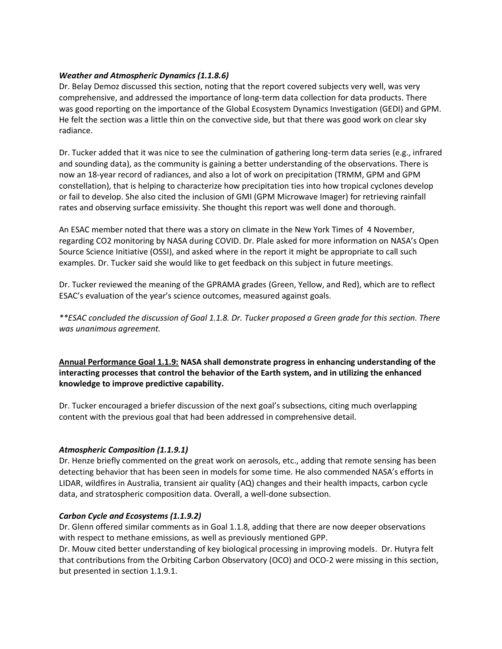# *Weather and Atmospheric Dynamics (1.1.8.6)*

Dr. Belay Demoz discussed this section, noting that the report covered subjects very well, was very comprehensive, and addressed the importance of long-term data collection for data products. There was good reporting on the importance of the Global Ecosystem Dynamics Investigation (GEDI) and GPM. He felt the section was a little thin on the convective side, but that there was good work on clear sky radiance.

Dr. Tucker added that it was nice to see the culmination of gathering long-term data series (e.g., infrared and sounding data), as the community is gaining a better understanding of the observations. There is now an 18-year record of radiances, and also a lot of work on precipitation (TRMM, GPM and GPM constellation), that is helping to characterize how precipitation ties into how tropical cyclones develop or fail to develop. She also cited the inclusion of GMI (GPM Microwave Imager) for retrieving rainfall rates and observing surface emissivity. She thought this report was well done and thorough.

An ESAC member noted that there was a story on climate in the New York Times of 4 November, regarding CO2 monitoring by NASA during COVID. Dr. Plale asked for more information on NASA's Open Source Science Initiative (OSSI), and asked where in the report it might be appropriate to call such examples. Dr. Tucker said she would like to get feedback on this subject in future meetings.

Dr. Tucker reviewed the meaning of the GPRAMA grades (Green, Yellow, and Red), which are to reflect ESAC's evaluation of the year's science outcomes, measured against goals.

*\*\*ESAC concluded the discussion of Goal 1.1.8. Dr. Tucker proposed a Green grade for this section. There was unanimous agreement.*

**Annual Performance Goal 1.1.9: NASA shall demonstrate progress in enhancing understanding of the interacting processes that control the behavior of the Earth system, and in utilizing the enhanced knowledge to improve predictive capability.**

Dr. Tucker encouraged a briefer discussion of the next goal's subsections, citing much overlapping content with the previous goal that had been addressed in comprehensive detail.

## *Atmospheric Composition (1.1.9.1)*

Dr. Henze briefly commented on the great work on aerosols, etc., adding that remote sensing has been detecting behavior that has been seen in models for some time. He also commended NASA's efforts in LIDAR, wildfires in Australia, transient air quality (AQ) changes and their health impacts, carbon cycle data, and stratospheric composition data. Overall, a well-done subsection.

## *Carbon Cycle and Ecosystems (1.1.9.2)*

Dr. Glenn offered similar comments as in Goal 1.1.8, adding that there are now deeper observations with respect to methane emissions, as well as previously mentioned GPP.

Dr. Mouw cited better understanding of key biological processing in improving models. Dr. Hutyra felt that contributions from the Orbiting Carbon Observatory (OCO) and OCO-2 were missing in this section, but presented in section 1.1.9.1.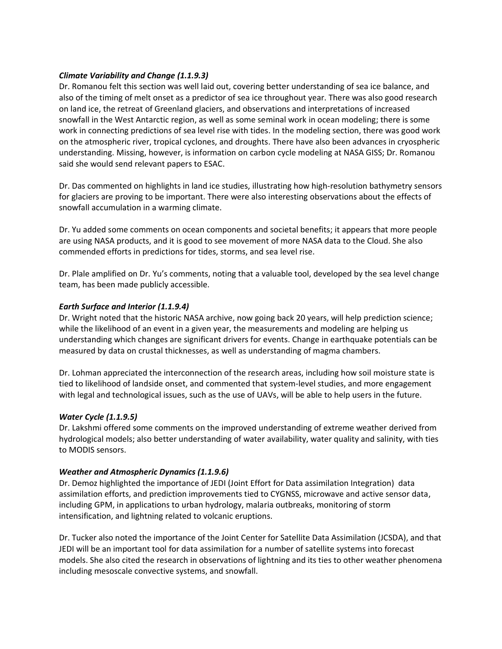## *Climate Variability and Change (1.1.9.3)*

Dr. Romanou felt this section was well laid out, covering better understanding of sea ice balance, and also of the timing of melt onset as a predictor of sea ice throughout year. There was also good research on land ice, the retreat of Greenland glaciers, and observations and interpretations of increased snowfall in the West Antarctic region, as well as some seminal work in ocean modeling; there is some work in connecting predictions of sea level rise with tides. In the modeling section, there was good work on the atmospheric river, tropical cyclones, and droughts. There have also been advances in cryospheric understanding. Missing, however, is information on carbon cycle modeling at NASA GISS; Dr. Romanou said she would send relevant papers to ESAC.

Dr. Das commented on highlights in land ice studies, illustrating how high-resolution bathymetry sensors for glaciers are proving to be important. There were also interesting observations about the effects of snowfall accumulation in a warming climate.

Dr. Yu added some comments on ocean components and societal benefits; it appears that more people are using NASA products, and it is good to see movement of more NASA data to the Cloud. She also commended efforts in predictions for tides, storms, and sea level rise.

Dr. Plale amplified on Dr. Yu's comments, noting that a valuable tool, developed by the sea level change team, has been made publicly accessible.

# *Earth Surface and Interior (1.1.9.4)*

Dr. Wright noted that the historic NASA archive, now going back 20 years, will help prediction science; while the likelihood of an event in a given year, the measurements and modeling are helping us understanding which changes are significant drivers for events. Change in earthquake potentials can be measured by data on crustal thicknesses, as well as understanding of magma chambers.

Dr. Lohman appreciated the interconnection of the research areas, including how soil moisture state is tied to likelihood of landside onset, and commented that system-level studies, and more engagement with legal and technological issues, such as the use of UAVs, will be able to help users in the future.

## *Water Cycle (1.1.9.5)*

Dr. Lakshmi offered some comments on the improved understanding of extreme weather derived from hydrological models; also better understanding of water availability, water quality and salinity, with ties to MODIS sensors.

## *Weather and Atmospheric Dynamics (1.1.9.6)*

Dr. Demoz highlighted the importance of JEDI (Joint Effort for Data assimilation Integration) data assimilation efforts, and prediction improvements tied to CYGNSS, microwave and active sensor data, including GPM, in applications to urban hydrology, malaria outbreaks, monitoring of storm intensification, and lightning related to volcanic eruptions.

Dr. Tucker also noted the importance of the Joint Center for Satellite Data Assimilation (JCSDA), and that JEDI will be an important tool for data assimilation for a number of satellite systems into forecast models. She also cited the research in observations of lightning and its ties to other weather phenomena including mesoscale convective systems, and snowfall.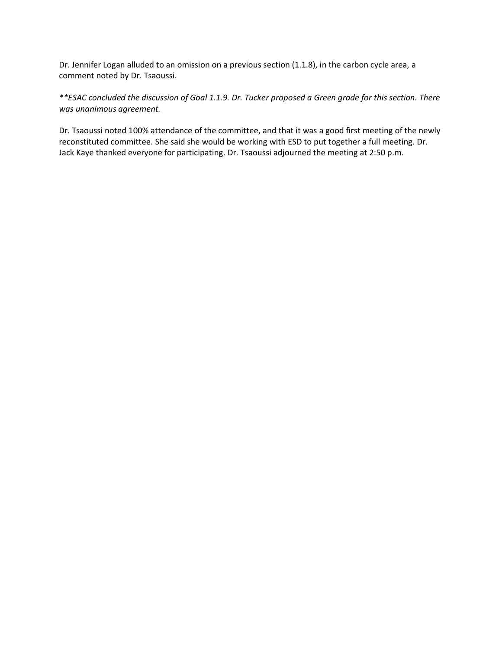Dr. Jennifer Logan alluded to an omission on a previous section (1.1.8), in the carbon cycle area, a comment noted by Dr. Tsaoussi.

*\*\*ESAC concluded the discussion of Goal 1.1.9. Dr. Tucker proposed a Green grade for this section. There was unanimous agreement.*

Dr. Tsaoussi noted 100% attendance of the committee, and that it was a good first meeting of the newly reconstituted committee. She said she would be working with ESD to put together a full meeting. Dr. Jack Kaye thanked everyone for participating. Dr. Tsaoussi adjourned the meeting at 2:50 p.m.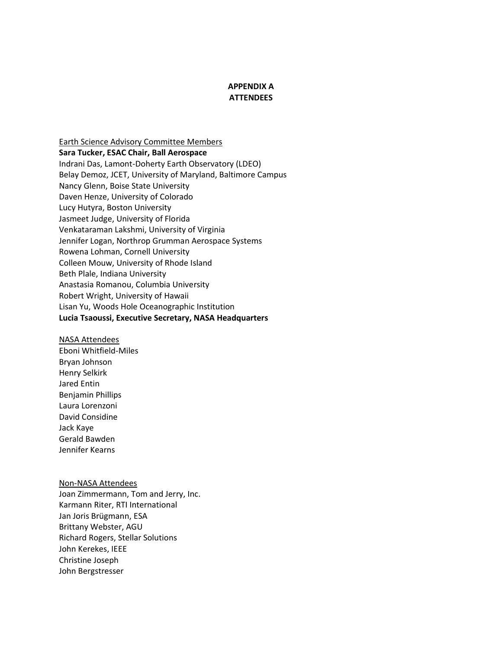## **APPENDIX A ATTENDEES**

Earth Science Advisory Committee Members **Sara Tucker, ESAC Chair, Ball Aerospace** Indrani Das, Lamont-Doherty Earth Observatory (LDEO) Belay Demoz, JCET, University of Maryland, Baltimore Campus Nancy Glenn, Boise State University Daven Henze, University of Colorado Lucy Hutyra, Boston University Jasmeet Judge, University of Florida Venkataraman Lakshmi, University of Virginia Jennifer Logan, Northrop Grumman Aerospace Systems Rowena Lohman, Cornell University Colleen Mouw, University of Rhode Island Beth Plale, Indiana University Anastasia Romanou, Columbia University Robert Wright, University of Hawaii Lisan Yu, Woods Hole Oceanographic Institution **Lucia Tsaoussi, Executive Secretary, NASA Headquarters**

#### NASA Attendees

Eboni Whitfield-Miles Bryan Johnson Henry Selkirk Jared Entin Benjamin Phillips Laura Lorenzoni David Considine Jack Kaye Gerald Bawden Jennifer Kearns

#### Non-NASA Attendees

Joan Zimmermann, Tom and Jerry, Inc. Karmann Riter, RTI International Jan Joris Brügmann, ESA Brittany Webster, AGU Richard Rogers, Stellar Solutions John Kerekes, IEEE Christine Joseph John Bergstresser